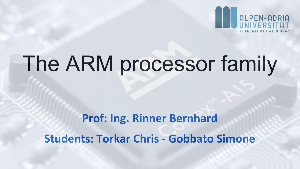

# The ARM processor family

## **Prof: Ing. Rinner Bernhard Students: Torkar Chris - Gobbato Simone**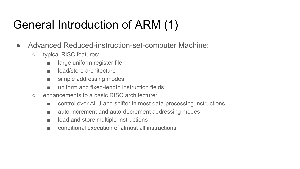#### General Introduction of ARM (1)

- Advanced Reduced-instruction-set-computer Machine:
	- typical RISC features:
		- large uniform register file
		- load/store architecture
		- simple addressing modes
		- uniform and fixed-length instruction fields
	- enhancements to a basic RISC architecture:
		- control over ALU and shifter in most data-processing instructions
		- auto-increment and auto-decrement addressing modes
		- load and store multiple instructions
		- conditional execution of almost all instructions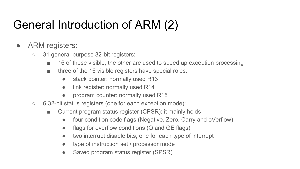#### General Introduction of ARM (2)

- ARM registers:
	- 31 general-purpose 32-bit registers:
		- 16 of these visible, the other are used to speed up exception processing
		- three of the 16 visible registers have special roles:
			- stack pointer: normally used R13
			- link register: normally used R14
			- program counter: normally used R15
	- 6 32-bit status registers (one for each exception mode):
		- Current program status register (CPSR): it mainly holds
			- four condition code flags (Negative, Zero, Carry and oVerflow)
			- $\bullet$  flags for overflow conditions (Q and GE flags)
			- two interrupt disable bits, one for each type of interrupt
			- type of instruction set / processor mode
			- Saved program status register (SPSR)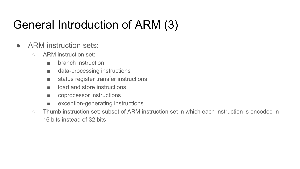#### General Introduction of ARM (3)

- ARM instruction sets:
	- ARM instruction set:
		- branch instruction
		- data-processing instructions
		- status register transfer instructions
		- load and store instructions
		- coprocessor instructions
		- exception-generating instructions
	- Thumb instruction set: subset of ARM instruction set in which each instruction is encoded in 16 bits instead of 32 bits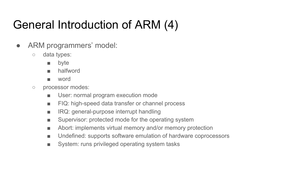#### General Introduction of ARM (4)

- ARM programmers' model:
	- data types:
		- byte
		- halfword
		- word
	- processor modes:
		- User: normal program execution mode
		- FIQ: high-speed data transfer or channel process
		- IRQ: general-purpose interrupt handling
		- Supervisor: protected mode for the operating system
		- Abort: implements virtual memory and/or memory protection
		- Undefined: supports software emulation of hardware coprocessors
		- System: runs privileged operating system tasks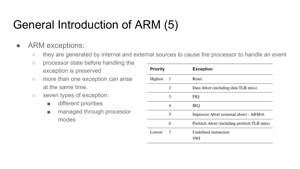#### General Introduction of ARM (5)

#### ● ARM exceptions:

- they are generated by internal and external sources to cause the processor to handle an event
- processor state before handling the exception is preserved
- more than one exception can arise at the same time.
- seven types of exception:
	- different priorities
	- managed through processor modes

| <b>Priority</b> |   | <b>Exception</b>                             |
|-----------------|---|----------------------------------------------|
| Highest         |   | Reset                                        |
|                 | 2 | Data Abort (including data TLB miss)         |
|                 | 3 | <b>FIO</b>                                   |
|                 | 4 | IRQ                                          |
|                 | 5 | Imprecise Abort (external abort) - ARMv6     |
|                 | 6 | Prefetch Abort (including prefetch TLB miss) |
| Lowest          | 7 | Undefined instruction<br>SWI                 |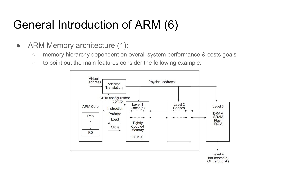#### General Introduction of ARM (6)

- ARM Memory architecture (1):
	- memory hierarchy dependent on overall system performance & costs goals
	- $\circ$  to point out the main features consider the following example:

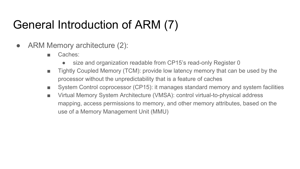#### General Introduction of ARM (7)

- ARM Memory architecture (2):
	- Caches:
		- size and organization readable from CP15's read-only Register 0
	- Tightly Coupled Memory (TCM): provide low latency memory that can be used by the processor without the unpredictability that is a feature of caches
	- System Control coprocessor (CP15): it manages standard memory and system facilities
	- Virtual Memory System Architecture (VMSA): control virtual-to-physical address mapping, access permissions to memory, and other memory attributes, based on the use of a Memory Management Unit (MMU)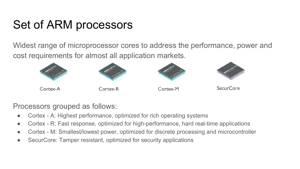#### Set of ARM processors

Widest range of microprocessor cores to address the performance, power and cost requirements for almost all application markets.



Processors grouped as follows:

- Cortex A: Highest performance, optimized for rich operating systems
- Cortex R: Fast response, optimized for high-performance, hard real-time applications
- Cortex M: Smallest/lowest power, optimized for discrete processing and microcontroller
- SecurCore: Tamper resistant, optimized for security applications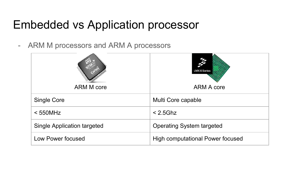- ARM M processors and ARM A processors

| <b>ARM M core</b>                  | i.MX 6 Series<br><b>ARM A core</b> |
|------------------------------------|------------------------------------|
| Single Core                        | Multi Core capable                 |
| $<$ 550MHz                         | $< 2.5$ Ghz                        |
| <b>Single Application targeted</b> | <b>Operating System targeted</b>   |
| Low Power focused                  | High computational Power focused   |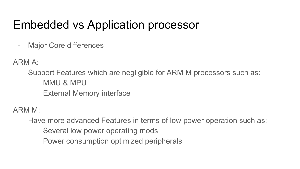- Major Core differences

ARM A:

Support Features which are [negligible](http://www.dict.cc/englisch-deutsch/negligible.html) for ARM M processors such as: MMU & MPU External Memory interface

ARM M:

Have more advanced Features in terms of low power operation such as:

- Several low power operating mods
- Power consumption optimized peripherals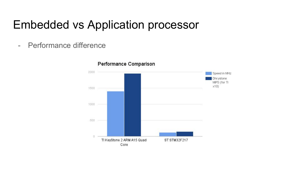- Performance difference

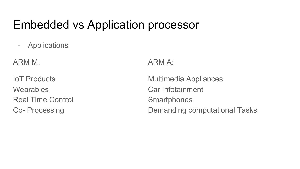- Applications

ARM M: ARM A:

Wearables Car Infotainment Real Time Control **Smartphones** 

IoT Products Multimedia Appliances Co- Processing **Co-** Processing **Demanding computational Tasks**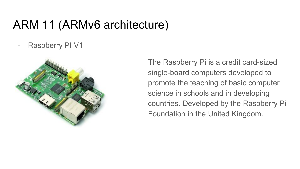#### ARM 11 (ARMv6 architecture)

Raspberry PI V1



The Raspberry Pi is a [credit card](https://en.wikipedia.org/wiki/Credit_card)-sized [single-board computers](https://en.wikipedia.org/wiki/Single-board_computer) developed to promote the teaching of basic [computer](https://en.wikipedia.org/wiki/Computer_science)  [science](https://en.wikipedia.org/wiki/Computer_science) in schools and in [developing](https://en.wikipedia.org/wiki/Developing_countries)  [countries](https://en.wikipedia.org/wiki/Developing_countries). Developed by the [Raspberry Pi](https://en.wikipedia.org/wiki/Raspberry_Pi_Foundation)  [Foundation](https://en.wikipedia.org/wiki/Raspberry_Pi_Foundation) in the [United Kingdom](https://en.wikipedia.org/wiki/United_Kingdom).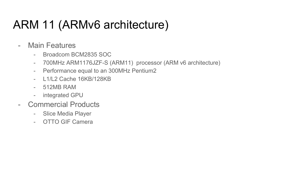#### ARM 11 (ARMv6 architecture)

- Main Features
	- Broadcom BCM2835 SOC
	- 700MHz ARM1176JZF-S (ARM11) processor (ARM v6 architecture)
	- Performance equal to an 300MHz Pentium2
	- L1/L2 Cache 16KB/128KB
	- 512MB RAM
	- integrated GPU
- Commercial Products
	- Slice Media Player
	- OTTO GIF Camera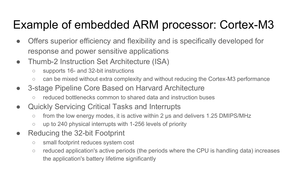#### Example of embedded ARM processor: Cortex-M3

- Offers superior efficiency and flexibility and is specifically developed for response and power sensitive applications
- Thumb-2 Instruction Set Architecture (ISA)
	- supports 16- and 32-bit instructions
	- can be mixed without extra complexity and without reducing the Cortex-M3 performance
- 3-stage Pipeline Core Based on Harvard Architecture
	- reduced bottlenecks common to shared data and instruction buses
- Quickly Servicing Critical Tasks and Interrupts
	- $\circ$  from the low energy modes, it is active within 2 us and delivers 1.25 DMIPS/MHz
	- up to 240 physical interrupts with 1-256 levels of priority
- Reducing the 32-bit Footprint
	- small footprint reduces system cost
	- reduced application's active periods (the periods where the CPU is handling data) increases the application's battery lifetime significantly